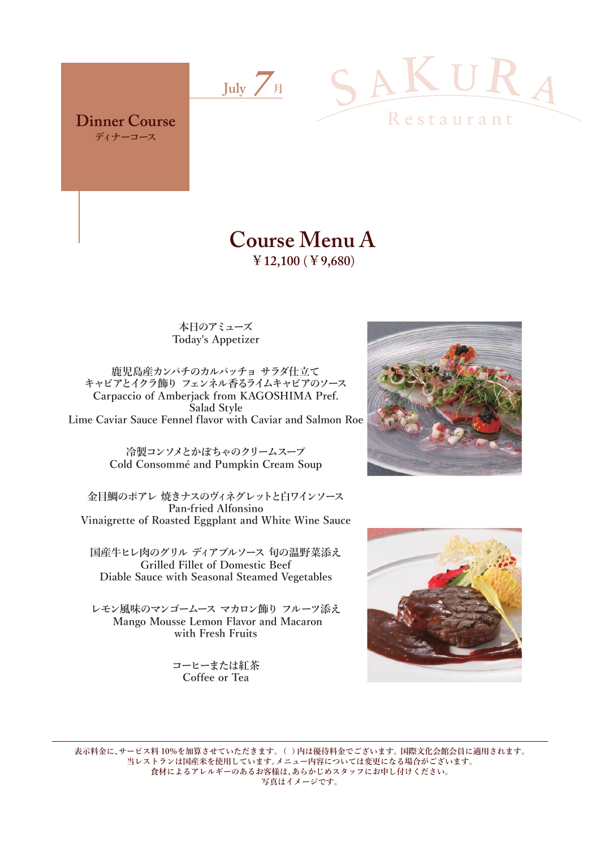

**Dinner Course ディナーコース**



## **Course Menu A ¥12,100** (**¥9,680**)

**本日のアミューズ Today's Appetizer**

**鹿児島産カンパチのカルパッチョ サラダ仕立て キャビアとイクラ飾り フェンネル香るライムキャビアのソース Carpaccio of Amberjack from KAGOSHIMA Pref. Salad Style Lime Caviar Sauce Fennel flavor with Caviar and Salmon Roe**

> **冷製コンソメとかぼちゃのクリームスープ Cold Consommé and Pumpkin Cream Soup**

**金目鯛のポアレ 焼きナスのヴィネグレットと白ワインソース Pan-fried Alfonsino Vinaigrette of Roasted Eggplant and White Wine Sauce**

**国産牛ヒレ肉のグリル ディアブルソース 旬の温野菜添え Grilled Fillet of Domestic Beef Diable Sauce with Seasonal Steamed Vegetables**

**レモン風味のマンゴームース マカロン飾り フルーツ添え Mango Mousse Lemon Flavor and Macaron with Fresh Fruits**

> **コーヒーまたは紅茶 Coffee or Tea**





**表示料金に、サービス料 10%を加算させていただきます。 ( ) 内は優待料金でございます。 国際文化会館会員に適用されます。 当レストランは国産米を使用しています。メニュー内容については変更になる場合がございます。 食材によるアレルギーのあるお客様は、あらかじめスタッフにお申し付けください。 写真はイメージです。**